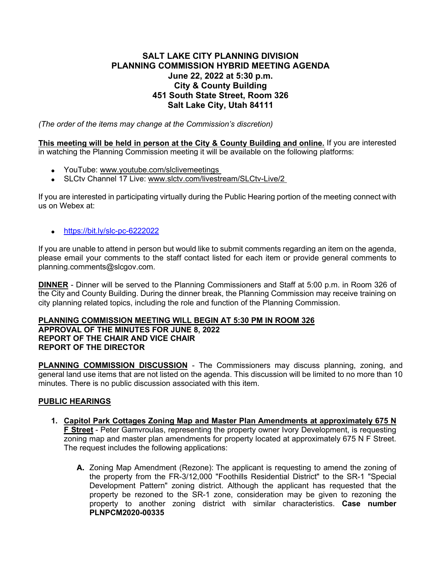## **SALT LAKE CITY PLANNING DIVISION PLANNING COMMISSION HYBRID MEETING AGENDA June 22, 2022 at 5:30 p.m. City & County Building 451 South State Street, Room 326 Salt Lake City, Utah 84111**

*(The order of the items may change at the Commission's discretion)*

**This meeting will be held in person at the City & County Building and online.** If you are interested in watching the Planning Commission meeting it will be available on the following platforms:

- YouTube: [www.youtube.com/slclivemeetings](http://www.youtube.com/slclivemeetings)
- SLCtv Channel 17 Live: [www.slctv.com/livestream/SLCtv-Live/2](http://www.slctv.com/livestream/SLCtv-Live/2)

If you are interested in participating virtually during the Public Hearing portion of the meeting connect with us on Webex at:

• <https://bit.ly/slc-pc-6222022>

If you are unable to attend in person but would like to submit comments regarding an item on the agenda, please email your comments to the staff contact listed for each item or provide general comments to planning.comments@slcgov.com.

**DINNER** - Dinner will be served to the Planning Commissioners and Staff at 5:00 p.m. in Room 326 of the City and County Building. During the dinner break, the Planning Commission may receive training on city planning related topics, including the role and function of the Planning Commission.

## **PLANNING COMMISSION MEETING WILL BEGIN AT 5:30 PM IN ROOM 326 APPROVAL OF THE MINUTES FOR JUNE 8, 2022 REPORT OF THE CHAIR AND VICE CHAIR REPORT OF THE DIRECTOR**

**PLANNING COMMISSION DISCUSSION** - The Commissioners may discuss planning, zoning, and general land use items that are not listed on the agenda. This discussion will be limited to no more than 10 minutes. There is no public discussion associated with this item.

## **PUBLIC HEARINGS**

- **1. Capitol Park Cottages Zoning Map and Master Plan Amendments at approximately 675 N F Street** - Peter Gamvroulas, representing the property owner Ivory Development, is requesting zoning map and master plan amendments for property located at approximately 675 N F Street. The request includes the following applications:
	- **A.** Zoning Map Amendment (Rezone): The applicant is requesting to amend the zoning of the property from the FR-3/12,000 "Foothills Residential District" to the SR-1 "Special Development Pattern" zoning district. Although the applicant has requested that the property be rezoned to the SR-1 zone, consideration may be given to rezoning the property to another zoning district with similar characteristics. **Case number PLNPCM2020-00335**